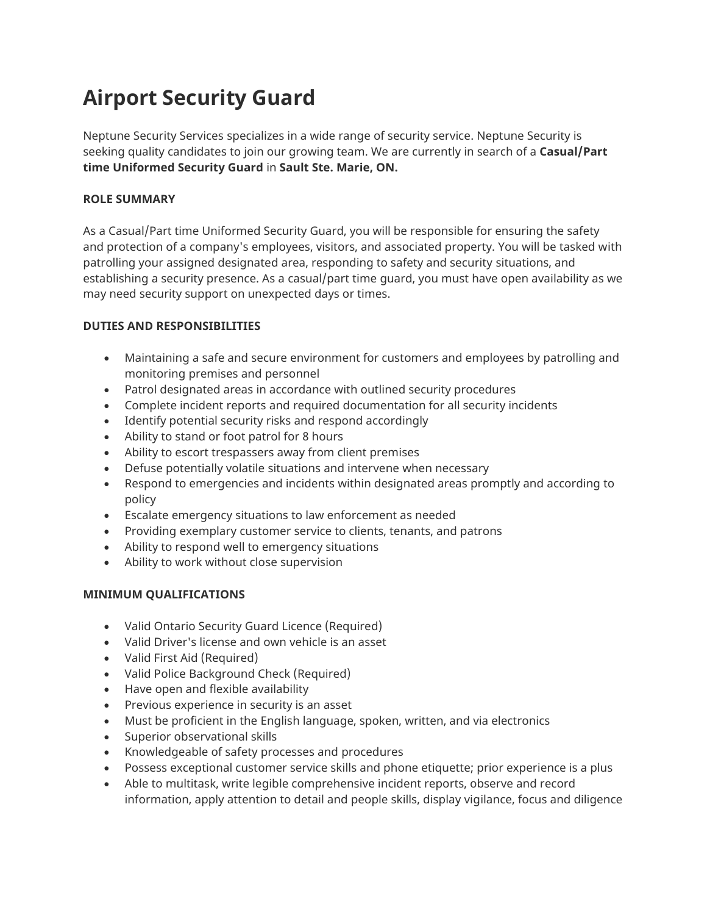# **Airport Security Guard**

Neptune Security Services specializes in a wide range of security service. Neptune Security is seeking quality candidates to join our growing team. We are currently in search of a **Casual/Part time Uniformed Security Guard** in **Sault Ste. Marie, ON.**

## **ROLE SUMMARY**

As a Casual/Part time Uniformed Security Guard, you will be responsible for ensuring the safety and protection of a company's employees, visitors, and associated property. You will be tasked with patrolling your assigned designated area, responding to safety and security situations, and establishing a security presence. As a casual/part time guard, you must have open availability as we may need security support on unexpected days or times.

#### **DUTIES AND RESPONSIBILITIES**

- Maintaining a safe and secure environment for customers and employees by patrolling and monitoring premises and personnel
- Patrol designated areas in accordance with outlined security procedures
- Complete incident reports and required documentation for all security incidents
- Identify potential security risks and respond accordingly
- Ability to stand or foot patrol for 8 hours
- Ability to escort trespassers away from client premises
- Defuse potentially volatile situations and intervene when necessary
- Respond to emergencies and incidents within designated areas promptly and according to policy
- Escalate emergency situations to law enforcement as needed
- Providing exemplary customer service to clients, tenants, and patrons
- Ability to respond well to emergency situations
- Ability to work without close supervision

### **MINIMUM QUALIFICATIONS**

- Valid Ontario Security Guard Licence (Required)
- Valid Driver's license and own vehicle is an asset
- Valid First Aid (Required)
- Valid Police Background Check (Required)
- Have open and flexible availability
- Previous experience in security is an asset
- Must be proficient in the English language, spoken, written, and via electronics
- Superior observational skills
- Knowledgeable of safety processes and procedures
- Possess exceptional customer service skills and phone etiquette; prior experience is a plus
- Able to multitask, write legible comprehensive incident reports, observe and record information, apply attention to detail and people skills, display vigilance, focus and diligence